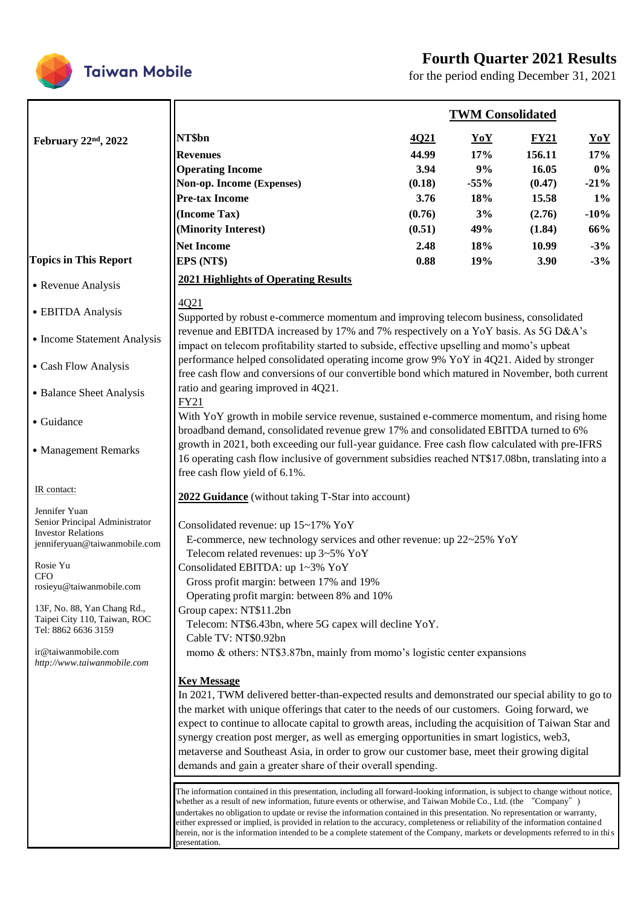## **Fourth Quarter 2021 Results**



for the period ending December 31, 2021

|                                                             |                                                                                                                                                                                                                                                                                                                                                                                                                                                                                                                                                                                                                                                                        |        | <b>TWM Consolidated</b> |             |        |  |  |
|-------------------------------------------------------------|------------------------------------------------------------------------------------------------------------------------------------------------------------------------------------------------------------------------------------------------------------------------------------------------------------------------------------------------------------------------------------------------------------------------------------------------------------------------------------------------------------------------------------------------------------------------------------------------------------------------------------------------------------------------|--------|-------------------------|-------------|--------|--|--|
| February 22nd, 2022                                         | NT\$bn                                                                                                                                                                                                                                                                                                                                                                                                                                                                                                                                                                                                                                                                 | 4Q21   | <b>YoY</b>              | $\bf{FY21}$ | YoY    |  |  |
|                                                             | <b>Revenues</b>                                                                                                                                                                                                                                                                                                                                                                                                                                                                                                                                                                                                                                                        | 44.99  | 17%                     | 156.11      | 17%    |  |  |
|                                                             | <b>Operating Income</b>                                                                                                                                                                                                                                                                                                                                                                                                                                                                                                                                                                                                                                                | 3.94   | 9%                      | 16.05       | $0\%$  |  |  |
|                                                             | Non-op. Income (Expenses)                                                                                                                                                                                                                                                                                                                                                                                                                                                                                                                                                                                                                                              | (0.18) | $-55%$                  | (0.47)      | $-21%$ |  |  |
|                                                             | <b>Pre-tax Income</b>                                                                                                                                                                                                                                                                                                                                                                                                                                                                                                                                                                                                                                                  | 3.76   | 18%                     | 15.58       | $1\%$  |  |  |
|                                                             | (Income Tax)                                                                                                                                                                                                                                                                                                                                                                                                                                                                                                                                                                                                                                                           | (0.76) | 3%                      | (2.76)      | $-10%$ |  |  |
|                                                             | (Minority Interest)                                                                                                                                                                                                                                                                                                                                                                                                                                                                                                                                                                                                                                                    | (0.51) | 49%                     | (1.84)      | 66%    |  |  |
|                                                             | <b>Net Income</b>                                                                                                                                                                                                                                                                                                                                                                                                                                                                                                                                                                                                                                                      | 2.48   | 18%                     | 10.99       | $-3%$  |  |  |
| <b>Topics in This Report</b>                                | EPS (NT\$)                                                                                                                                                                                                                                                                                                                                                                                                                                                                                                                                                                                                                                                             | 0.88   | 19%                     | 3.90        | $-3%$  |  |  |
| • Revenue Analysis                                          | <b>2021 Highlights of Operating Results</b>                                                                                                                                                                                                                                                                                                                                                                                                                                                                                                                                                                                                                            |        |                         |             |        |  |  |
| • EBITDA Analysis                                           | 4Q21<br>Supported by robust e-commerce momentum and improving telecom business, consolidated                                                                                                                                                                                                                                                                                                                                                                                                                                                                                                                                                                           |        |                         |             |        |  |  |
| • Income Statement Analysis                                 | revenue and EBITDA increased by 17% and 7% respectively on a YoY basis. As 5G D&A's<br>impact on telecom profitability started to subside, effective upselling and momo's upbeat                                                                                                                                                                                                                                                                                                                                                                                                                                                                                       |        |                         |             |        |  |  |
| • Cash Flow Analysis                                        | performance helped consolidated operating income grow 9% YoY in 4Q21. Aided by stronger<br>free cash flow and conversions of our convertible bond which matured in November, both current                                                                                                                                                                                                                                                                                                                                                                                                                                                                              |        |                         |             |        |  |  |
| • Balance Sheet Analysis                                    | ratio and gearing improved in 4Q21.<br><b>FY21</b>                                                                                                                                                                                                                                                                                                                                                                                                                                                                                                                                                                                                                     |        |                         |             |        |  |  |
| • Guidance                                                  | With YoY growth in mobile service revenue, sustained e-commerce momentum, and rising home<br>broadband demand, consolidated revenue grew 17% and consolidated EBITDA turned to 6%                                                                                                                                                                                                                                                                                                                                                                                                                                                                                      |        |                         |             |        |  |  |
| • Management Remarks                                        | growth in 2021, both exceeding our full-year guidance. Free cash flow calculated with pre-IFRS<br>16 operating cash flow inclusive of government subsidies reached NT\$17.08bn, translating into a<br>free cash flow yield of 6.1%.                                                                                                                                                                                                                                                                                                                                                                                                                                    |        |                         |             |        |  |  |
| IR contact:                                                 | 2022 Guidance (without taking T-Star into account)                                                                                                                                                                                                                                                                                                                                                                                                                                                                                                                                                                                                                     |        |                         |             |        |  |  |
| Jennifer Yuan                                               |                                                                                                                                                                                                                                                                                                                                                                                                                                                                                                                                                                                                                                                                        |        |                         |             |        |  |  |
| Senior Principal Administrator<br><b>Investor Relations</b> | Consolidated revenue: up 15~17% YoY                                                                                                                                                                                                                                                                                                                                                                                                                                                                                                                                                                                                                                    |        |                         |             |        |  |  |
| jenniferyuan@taiwanmobile.com                               | E-commerce, new technology services and other revenue: up $22\nu 25\%$ YoY                                                                                                                                                                                                                                                                                                                                                                                                                                                                                                                                                                                             |        |                         |             |        |  |  |
|                                                             | Telecom related revenues: up 3~5% YoY                                                                                                                                                                                                                                                                                                                                                                                                                                                                                                                                                                                                                                  |        |                         |             |        |  |  |
| Rosie Yu<br><b>CFO</b>                                      | Consolidated EBITDA: up 1~3% YoY                                                                                                                                                                                                                                                                                                                                                                                                                                                                                                                                                                                                                                       |        |                         |             |        |  |  |
| rosieyu@taiwanmobile.com                                    | Gross profit margin: between 17% and 19%                                                                                                                                                                                                                                                                                                                                                                                                                                                                                                                                                                                                                               |        |                         |             |        |  |  |
| 13F, No. 88, Yan Chang Rd.,                                 | Operating profit margin: between 8% and 10%                                                                                                                                                                                                                                                                                                                                                                                                                                                                                                                                                                                                                            |        |                         |             |        |  |  |
| Taipei City 110, Taiwan, ROC                                | Group capex: NT\$11.2bn<br>Telecom: NT\$6.43bn, where 5G capex will decline YoY.                                                                                                                                                                                                                                                                                                                                                                                                                                                                                                                                                                                       |        |                         |             |        |  |  |
| Tel: 8862 6636 3159                                         | Cable TV: NT\$0.92bn                                                                                                                                                                                                                                                                                                                                                                                                                                                                                                                                                                                                                                                   |        |                         |             |        |  |  |
| ir@taiwanmobile.com<br>http://www.taiwanmobile.com          | momo & others: NT\$3.87bn, mainly from momo's logistic center expansions                                                                                                                                                                                                                                                                                                                                                                                                                                                                                                                                                                                               |        |                         |             |        |  |  |
|                                                             | <b>Key Message</b>                                                                                                                                                                                                                                                                                                                                                                                                                                                                                                                                                                                                                                                     |        |                         |             |        |  |  |
|                                                             | In 2021, TWM delivered better-than-expected results and demonstrated our special ability to go to                                                                                                                                                                                                                                                                                                                                                                                                                                                                                                                                                                      |        |                         |             |        |  |  |
|                                                             | the market with unique offerings that cater to the needs of our customers. Going forward, we                                                                                                                                                                                                                                                                                                                                                                                                                                                                                                                                                                           |        |                         |             |        |  |  |
|                                                             | expect to continue to allocate capital to growth areas, including the acquisition of Taiwan Star and                                                                                                                                                                                                                                                                                                                                                                                                                                                                                                                                                                   |        |                         |             |        |  |  |
|                                                             | synergy creation post merger, as well as emerging opportunities in smart logistics, web3,                                                                                                                                                                                                                                                                                                                                                                                                                                                                                                                                                                              |        |                         |             |        |  |  |
|                                                             | metaverse and Southeast Asia, in order to grow our customer base, meet their growing digital                                                                                                                                                                                                                                                                                                                                                                                                                                                                                                                                                                           |        |                         |             |        |  |  |
|                                                             | demands and gain a greater share of their overall spending.                                                                                                                                                                                                                                                                                                                                                                                                                                                                                                                                                                                                            |        |                         |             |        |  |  |
|                                                             | The information contained in this presentation, including all forward-looking information, is subject to change without notice,<br>whether as a result of new information, future events or otherwise, and Taiwan Mobile Co., Ltd. (the "Company")<br>undertakes no obligation to update or revise the information contained in this presentation. No representation or warranty,<br>either expressed or implied, is provided in relation to the accuracy, completeness or reliability of the information contained<br>herein, nor is the information intended to be a complete statement of the Company, markets or developments referred to in this<br>presentation. |        |                         |             |        |  |  |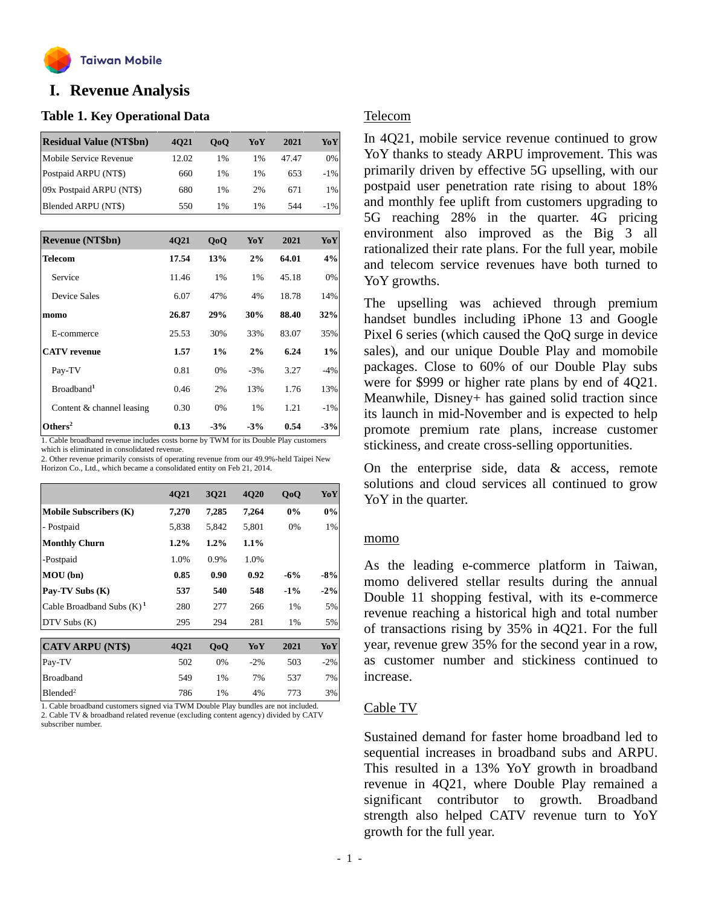

## **o I. Revenue Analysis**

#### **Table 1. Key Operational Data**

| <b>Residual Value (NT\$bn)</b> | 4021  | 0 <sub>0</sub> | YoY   | 2021  | YoY    |
|--------------------------------|-------|----------------|-------|-------|--------|
| Mobile Service Revenue         | 12.02 | 1%             | $1\%$ | 47.47 | 0%     |
| Postpaid ARPU (NT\$)           | 660   | 1%             | $1\%$ | 653   | $-1\%$ |
| 09x Postpaid ARPU (NT\$)       | 680   | 1%             | 2%    | 671   | 1%     |
| Blended ARPU (NT\$)            | 550   | 1%             | $1\%$ | 544   | $-1\%$ |

| <b>Revenue (NT\$bn)</b>   | 4Q21  | QoQ   | YoY   | 2021  | YoY   |
|---------------------------|-------|-------|-------|-------|-------|
| <b>Telecom</b>            | 17.54 | 13%   | 2%    | 64.01 | 4%    |
| Service                   | 11.46 | 1%    | 1%    | 45.18 | 0%    |
| Device Sales              | 6.07  | 47%   | 4%    | 18.78 | 14%   |
| momo                      | 26.87 | 29%   | 30%   | 88.40 | 32%   |
| E-commerce                | 25.53 | 30%   | 33%   | 83.07 | 35%   |
| <b>CATV</b> revenue       | 1.57  | $1\%$ | 2%    | 6.24  | $1\%$ |
| Pay-TV                    | 0.81  | 0%    | $-3%$ | 3.27  | $-4%$ |
| Broadband <sup>1</sup>    | 0.46  | 2%    | 13%   | 1.76  | 13%   |
| Content & channel leasing | 0.30  | 0%    | 1%    | 1.21  | $-1%$ |
| Others <sup>2</sup>       | 0.13  | $-3%$ | $-3%$ | 0.54  | $-3%$ |

1. Cable broadband revenue includes costs borne by TWM for its Double Play customers which is eliminated in consolidated revenue.

2. Other revenue primarily consists of operating revenue from our 49.9%-held Taipei New Horizon Co., Ltd., which became a consolidated entity on Feb 21, 2014.

|                               | 4Q21    | 3Q21    | <b>4Q20</b> | QoQ    | YoY    |
|-------------------------------|---------|---------|-------------|--------|--------|
| <b>Mobile Subscribers (K)</b> | 7,270   | 7,285   | 7,264       | 0%     | 0%     |
| - Postpaid                    | 5,838   | 5,842   | 5,801       | 0%     | 1%     |
| <b>Monthly Churn</b>          | $1.2\%$ | $1.2\%$ | 1.1%        |        |        |
| -Postpaid                     | 1.0%    | 0.9%    | 1.0%        |        |        |
| MOU (bn)                      | 0.85    | 0.90    | 0.92        | $-6%$  | $-8%$  |
| Pay-TV Subs (K)               | 537     | 540     | 548         | $-1\%$ | $-2\%$ |
| Cable Broadband Subs $(K)^1$  | 280     | 277     | 266         | 1%     | 5%     |
| DTV Subs (K)                  | 295     | 294     | 281         | 1%     | 5%     |
|                               |         |         |             |        |        |
| <b>CATV ARPU (NT\$)</b>       | 4021    | QoQ     | YoY         | 2021   | YoY    |
| Pay-TV                        | 502     | 0%      | $-2%$       | 503    | $-2%$  |
| <b>Broadband</b>              | 549     | 1%      | 7%          | 537    | 7%     |
| Blended <sup>2</sup>          | 786     | 1%      | 4%          | 773    | 3%     |

1. Cable broadband customers signed via TWM Double Play bundles are not included. 2. Cable TV & broadband related revenue (excluding content agency) divided by CATV subscriber number.

#### Telecom

In 4Q21, mobile service revenue continued to grow YoY thanks to steady ARPU improvement. This was primarily driven by effective 5G upselling, with our postpaid user penetration rate rising to about 18% and monthly fee uplift from customers upgrading to 5G reaching 28% in the quarter. 4G pricing environment also improved as the Big 3 all rationalized their rate plans. For the full year, mobile and telecom service revenues have both turned to YoY growths.

The upselling was achieved through premium handset bundles including iPhone 13 and Google Pixel 6 series (which caused the QoQ surge in device sales), and our unique Double Play and momobile packages. Close to 60% of our Double Play subs were for \$999 or higher rate plans by end of 4Q21. Meanwhile, Disney+ has gained solid traction since its launch in mid-November and is expected to help promote premium rate plans, increase customer stickiness, and create cross-selling opportunities.

On the enterprise side, data & access, remote solutions and cloud services all continued to grow YoY in the quarter.

#### momo

As the leading e-commerce platform in Taiwan, momo delivered stellar results during the annual Double 11 shopping festival, with its e-commerce revenue reaching a historical high and total number of transactions rising by 35% in 4Q21. For the full year, revenue grew 35% for the second year in a row, as customer number and stickiness continued to increase.

#### Cable TV

Sustained demand for faster home broadband led to sequential increases in broadband subs and ARPU. This resulted in a 13% YoY growth in broadband revenue in 4Q21, where Double Play remained a significant contributor to growth. Broadband strength also helped CATV revenue turn to YoY growth for the full year.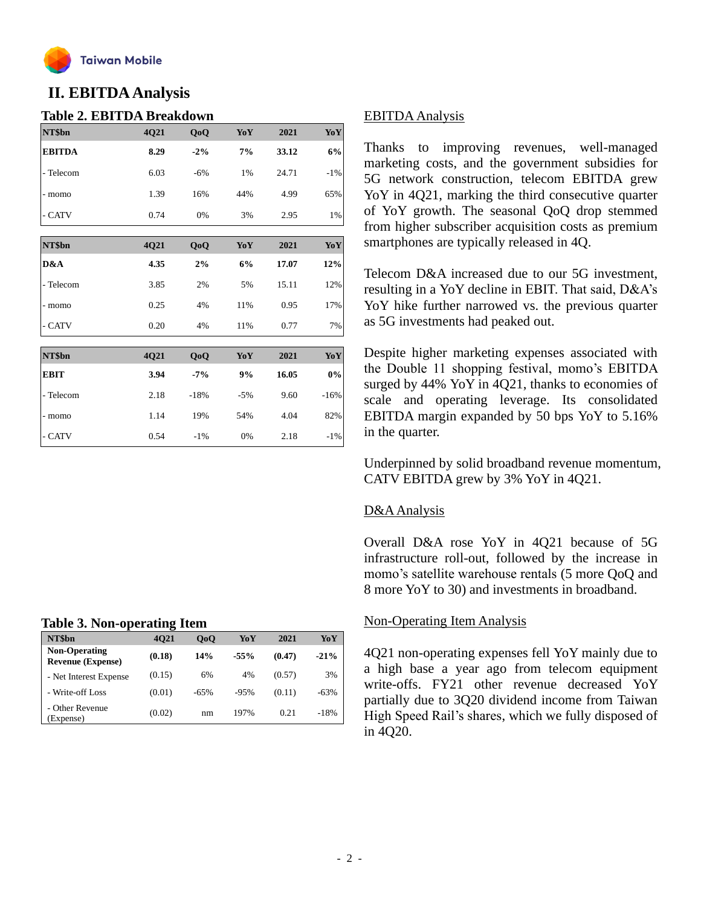

## **II. EBITDAAnalysis**

#### **Table 2. EBITDA Breakdown**

| NT\$bn        | 4Q21 | QoQ    | YoY   | 2021  | YoY    |
|---------------|------|--------|-------|-------|--------|
| <b>EBITDA</b> | 8.29 | $-2\%$ | 7%    | 33.12 | 6%     |
| - Telecom     | 6.03 | $-6%$  | 1%    | 24.71 | $-1\%$ |
| - momo        | 1.39 | 16%    | 44%   | 4.99  | 65%    |
| - CATV        | 0.74 | 0%     | 3%    | 2.95  | 1%     |
|               |      |        |       |       |        |
| NT\$bn        | 4Q21 | QoQ    | YoY   | 2021  | YoY    |
| D&A           | 4.35 | 2%     | 6%    | 17.07 | 12%    |
| - Telecom     | 3.85 | 2%     | 5%    | 15.11 | 12%    |
| - momo        | 0.25 | 4%     | 11%   | 0.95  | 17%    |
| - CATV        | 0.20 | 4%     | 11%   | 0.77  | 7%     |
|               |      |        |       |       |        |
| NT\$bn        | 4Q21 | QoQ    | YoY   | 2021  | YoY    |
| <b>EBIT</b>   | 3.94 | $-7%$  | 9%    | 16.05 | $0\%$  |
| - Telecom     | 2.18 | $-18%$ | $-5%$ | 9.60  | $-16%$ |
| - momo        | 1.14 | 19%    | 54%   | 4.04  | 82%    |

- CATV 0.54 -1% 0% 2.18 -1%

#### **Table 3. Non-operating Item**

| NT\$bn                                           | . .<br>4021 | 0 <sub>0</sub> | YoY    | 2021   | YoY    |
|--------------------------------------------------|-------------|----------------|--------|--------|--------|
| <b>Non-Operating</b><br><b>Revenue (Expense)</b> | (0.18)      | 14%            | $-55%$ | (0.47) | $-21%$ |
| - Net Interest Expense                           | (0.15)      | 6%             | 4%     | (0.57) | 3%     |
| - Write-off Loss                                 | (0.01)      | $-65%$         | $-95%$ | (0.11) | $-63%$ |
| - Other Revenue<br>Expense)                      | (0.02)      | nm             | 197%   | 0.21   | $-18%$ |

#### EBITDAAnalysis

Thanks to improving revenues, well-managed marketing costs, and the government subsidies for 5G network construction, telecom EBITDA grew YoY in 4Q21, marking the third consecutive quarter of YoY growth. The seasonal QoQ drop stemmed from higher subscriber acquisition costs as premium smartphones are typically released in 4Q.

Telecom D&A increased due to our 5G investment, resulting in a YoY decline in EBIT. That said, D&A's YoY hike further narrowed vs. the previous quarter as 5G investments had peaked out.

Despite higher marketing expenses associated with the Double 11 shopping festival, momo's EBITDA surged by 44% YoY in 4Q21, thanks to economies of scale and operating leverage. Its consolidated EBITDA margin expanded by 50 bps YoY to 5.16% in the quarter.

Underpinned by solid broadband revenue momentum, CATV EBITDA grew by 3% YoY in 4Q21.

#### D&A Analysis

Overall D&A rose YoY in 4Q21 because of 5G infrastructure roll-out, followed by the increase in momo's satellite warehouse rentals (5 more QoQ and 8 more YoY to 30) and investments in broadband.

#### Non-Operating Item Analysis

4Q21 non-operating expenses fell YoY mainly due to a high base a year ago from telecom equipment write-offs. FY21 other revenue decreased YoY partially due to 3Q20 dividend income from Taiwan High Speed Rail's shares, which we fully disposed of in 4Q20.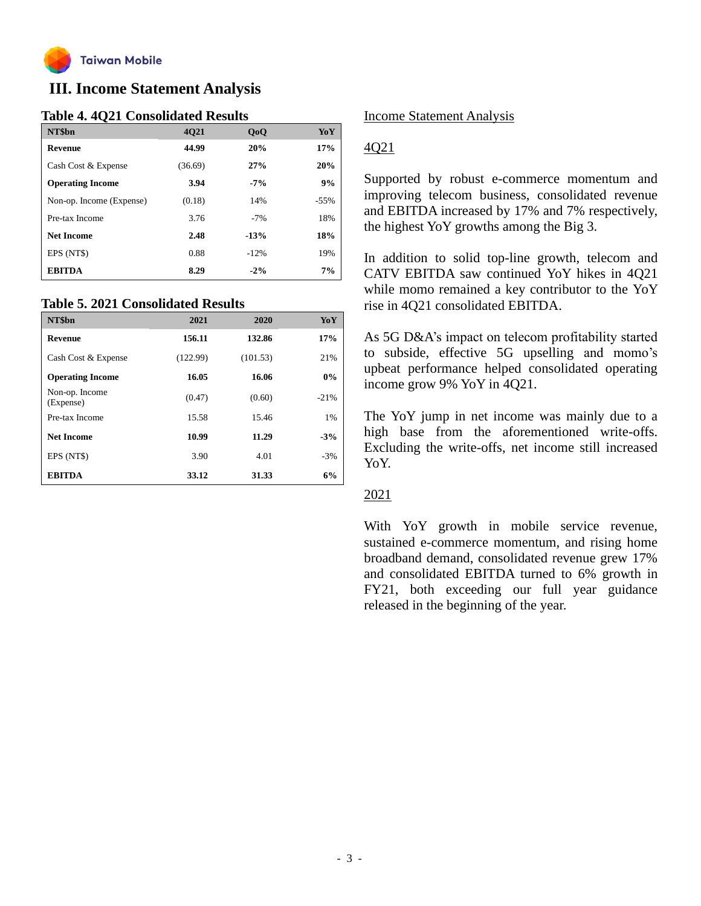

## **III. Income Statement Analysis**

#### **Table 4. 4Q21 Consolidated Results**

| NT\$bn                   | 4021    | QoQ    | YoY    |
|--------------------------|---------|--------|--------|
| <b>Revenue</b>           | 44.99   | 20%    | 17%    |
| Cash Cost & Expense      | (36.69) | 27%    | 20%    |
| <b>Operating Income</b>  | 3.94    | $-7%$  | 9%     |
| Non-op. Income (Expense) | (0.18)  | 14%    | $-55%$ |
| Pre-tax Income           | 3.76    | $-7%$  | 18%    |
| <b>Net Income</b>        | 2.48    | $-13%$ | 18%    |
| EPS (NT\$)               | 0.88    | $-12%$ | 19%    |
| <b>EBITDA</b>            | 8.29    | $-2\%$ | 7%     |

#### **Table 5. 2021 Consolidated Results**

| NT\$bn                      | 2021     | 2020     | YoY    |
|-----------------------------|----------|----------|--------|
| <b>Revenue</b>              | 156.11   | 132.86   | 17%    |
| Cash Cost & Expense         | (122.99) | (101.53) | 21%    |
| <b>Operating Income</b>     | 16.05    | 16.06    | 0%     |
| Non-op. Income<br>(Expense) | (0.47)   | (0.60)   | $-21%$ |
| Pre-tax Income              | 15.58    | 15.46    | 1%     |
| <b>Net Income</b>           | 10.99    | 11.29    | $-3%$  |
| EPS (NT\$)                  | 3.90     | 4.01     | $-3%$  |
| <b>EBITDA</b>               | 33.12    | 31.33    | 6%     |

#### Income Statement Analysis

#### 4Q21

Supported by robust e-commerce momentum and improving telecom business, consolidated revenue and EBITDA increased by 17% and 7% respectively, the highest YoY growths among the Big 3.

In addition to solid top-line growth, telecom and CATV EBITDA saw continued YoY hikes in 4Q21 while momo remained a key contributor to the YoY rise in 4Q21 consolidated EBITDA.

As 5G D&A's impact on telecom profitability started to subside, effective 5G upselling and momo's upbeat performance helped consolidated operating income grow 9% YoY in 4Q21.

The YoY jump in net income was mainly due to a high base from the aforementioned write-offs. Excluding the write-offs, net income still increased Y<sub>o</sub>Y

#### 2021

With YoY growth in mobile service revenue, sustained e-commerce momentum, and rising home broadband demand, consolidated revenue grew 17% and consolidated EBITDA turned to 6% growth in FY21, both exceeding our full year guidance released in the beginning of the year.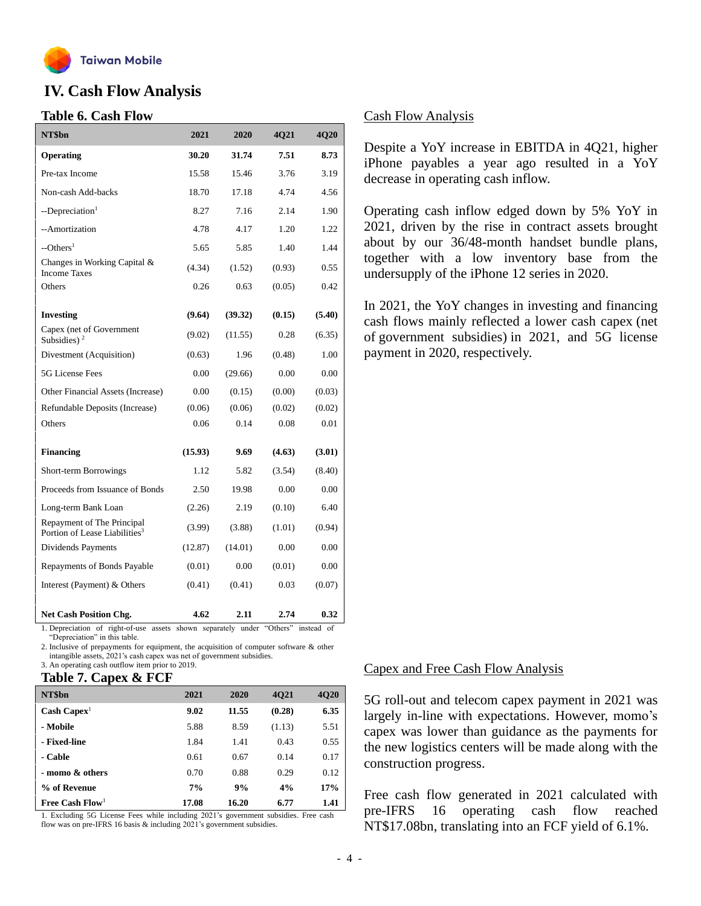

## **IV. Cash Flow Analysis**

#### **Table 6. Cash Flow**

| NT\$bn                                                                  | 2021    | 2020    | 4Q21   | 4Q20   |
|-------------------------------------------------------------------------|---------|---------|--------|--------|
| Operating                                                               | 30.20   | 31.74   | 7.51   | 8.73   |
| Pre-tax Income                                                          | 15.58   | 15.46   | 3.76   | 3.19   |
| Non-cash Add-backs                                                      | 18.70   | 17.18   | 4.74   | 4.56   |
| --Depreciation <sup>1</sup>                                             | 8.27    | 7.16    | 2.14   | 1.90   |
| --Amortization                                                          | 4.78    | 4.17    | 1.20   | 1.22   |
| --Others <sup>1</sup>                                                   | 5.65    | 5.85    | 1.40   | 1.44   |
| Changes in Working Capital &<br><b>Income Taxes</b>                     | (4.34)  | (1.52)  | (0.93) | 0.55   |
| Others                                                                  | 0.26    | 0.63    | (0.05) | 0.42   |
| <b>Investing</b>                                                        | (9.64)  | (39.32) | (0.15) | (5.40) |
| Capex (net of Government<br>Subsidies) <sup>2</sup>                     | (9.02)  | (11.55) | 0.28   | (6.35) |
| Divestment (Acquisition)                                                | (0.63)  | 1.96    | (0.48) | 1.00   |
| 5G License Fees                                                         | 0.00    | (29.66) | 0.00   | 0.00   |
| Other Financial Assets (Increase)                                       | 0.00    | (0.15)  | (0.00) | (0.03) |
| Refundable Deposits (Increase)                                          | (0.06)  | (0.06)  | (0.02) | (0.02) |
| Others                                                                  | 0.06    | 0.14    | 0.08   | 0.01   |
| <b>Financing</b>                                                        | (15.93) | 9.69    | (4.63) | (3.01) |
| Short-term Borrowings                                                   | 1.12    | 5.82    | (3.54) | (8.40) |
| Proceeds from Issuance of Bonds                                         | 2.50    | 19.98   | 0.00   | 0.00   |
| Long-term Bank Loan                                                     | (2.26)  | 2.19    | (0.10) | 6.40   |
| Repayment of The Principal<br>Portion of Lease Liabilities <sup>3</sup> | (3.99)  | (3.88)  | (1.01) | (0.94) |
| Dividends Payments                                                      | (12.87) | (14.01) | 0.00   | 0.00   |
| Repayments of Bonds Payable                                             | (0.01)  | 0.00    | (0.01) | 0.00   |
| Interest (Payment) & Others                                             | (0.41)  | (0.41)  | 0.03   | (0.07) |
| <b>Net Cash Position Chg.</b>                                           | 4.62    | 2.11    | 2.74   | 0.32   |

1. Depreciation of right-of-use assets shown separately under "Others" instead of "Depreciation" in this table.

2. Inclusive of prepayments for equipment, the acquisition of computer software & other intangible assets, 2021's cash capex was net of government subsidies. 3. An operating cash outflow item prior to 2019.

#### **Table 7. Capex & FCF**

| NT\$bn                        | 2021  | 2020  | 4021   | 4Q20 |
|-------------------------------|-------|-------|--------|------|
| $\text{Cash} \text{ Capex}^1$ | 9.02  | 11.55 | (0.28) | 6.35 |
| - Mobile                      | 5.88  | 8.59  | (1.13) | 5.51 |
| - Fixed-line                  | 1.84  | 1.41  | 0.43   | 0.55 |
| - Cable                       | 0.61  | 0.67  | 0.14   | 0.17 |
| - momo & others               | 0.70  | 0.88  | 0.29   | 0.12 |
| % of Revenue                  | 7%    | 9%    | 4%     | 17%  |
| Free Cash $Flow1$             | 17.08 | 16.20 | 6.77   | 1.41 |

1. Excluding 5G License Fees while including 2021's government subsidies. Free cash flow was on pre-IFRS 16 basis & including 2021's government subsidies.

#### Cash Flow Analysis

Despite a YoY increase in EBITDA in 4Q21, higher iPhone payables a year ago resulted in a YoY decrease in operating cash inflow.

Operating cash inflow edged down by 5% YoY in 2021, driven by the rise in contract assets brought about by our 36/48-month handset bundle plans, together with a low inventory base from the undersupply of the iPhone 12 series in 2020.

In 2021, the YoY changes in investing and financing cash flows mainly reflected a lower cash capex (net of government subsidies) in 2021, and 5G license payment in 2020, respectively.

#### Capex and Free Cash Flow Analysis

5G roll-out and telecom capex payment in 2021 was largely in-line with expectations. However, momo's capex was lower than guidance as the payments for the new logistics centers will be made along with the construction progress.

Free cash flow generated in 2021 calculated with pre-IFRS 16 operating cash flow reached NT\$17.08bn, translating into an FCF yield of 6.1%.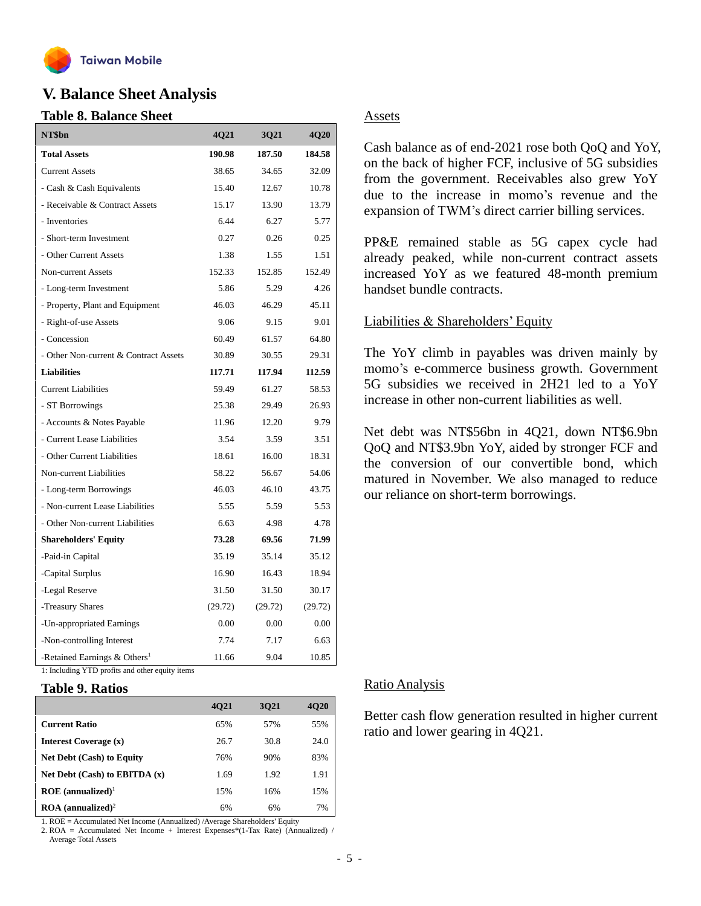

### **V. Balance Sheet Analysis**

#### **Table 8. Balance Sheet**

| NT\$bn                                   | 4Q21    | 3Q21    | 4Q20    |
|------------------------------------------|---------|---------|---------|
| <b>Total Assets</b>                      | 190.98  | 187.50  | 184.58  |
| <b>Current Assets</b>                    | 38.65   | 34.65   | 32.09   |
| - Cash & Cash Equivalents                | 15.40   | 12.67   | 10.78   |
| - Receivable & Contract Assets           | 15.17   | 13.90   | 13.79   |
| - Inventories                            | 6.44    | 6.27    | 5.77    |
| - Short-term Investment                  | 0.27    | 0.26    | 0.25    |
| - Other Current Assets                   | 1.38    | 1.55    | 1.51    |
| Non-current Assets                       | 152.33  | 152.85  | 152.49  |
| - Long-term Investment                   | 5.86    | 5.29    | 4.26    |
| - Property, Plant and Equipment          | 46.03   | 46.29   | 45.11   |
| - Right-of-use Assets                    | 9.06    | 9.15    | 9.01    |
| - Concession                             | 60.49   | 61.57   | 64.80   |
| - Other Non-current & Contract Assets    | 30.89   | 30.55   | 29.31   |
| <b>Liabilities</b>                       | 117.71  | 117.94  | 112.59  |
| <b>Current Liabilities</b>               | 59.49   | 61.27   | 58.53   |
| - ST Borrowings                          | 25.38   | 29.49   | 26.93   |
| - Accounts & Notes Payable               | 11.96   | 12.20   | 9.79    |
| - Current Lease Liabilities              | 3.54    | 3.59    | 3.51    |
| - Other Current Liabilities              | 18.61   | 16.00   | 18.31   |
| Non-current Liabilities                  | 58.22   | 56.67   | 54.06   |
| - Long-term Borrowings                   | 46.03   | 46.10   | 43.75   |
| - Non-current Lease Liabilities          | 5.55    | 5.59    | 5.53    |
| - Other Non-current Liabilities          | 6.63    | 4.98    | 4.78    |
| <b>Shareholders' Equity</b>              | 73.28   | 69.56   | 71.99   |
| -Paid-in Capital                         | 35.19   | 35.14   | 35.12   |
| -Capital Surplus                         | 16.90   | 16.43   | 18.94   |
| -Legal Reserve                           | 31.50   | 31.50   | 30.17   |
| -Treasury Shares                         | (29.72) | (29.72) | (29.72) |
| -Un-appropriated Earnings                | 0.00    | 0.00    | 0.00    |
| -Non-controlling Interest                | 7.74    | 7.17    | 6.63    |
| -Retained Earnings & Others <sup>1</sup> | 11.66   | 9.04    | 10.85   |

1: Including YTD profits and other equity items

#### **Table 9. Ratios**

|                                        | 4021 | 3021 | 4020 |
|----------------------------------------|------|------|------|
| <b>Current Ratio</b>                   | 65%  | 57%  | 55%  |
| Interest Coverage (x)                  | 26.7 | 30.8 | 24.0 |
| <b>Net Debt (Cash) to Equity</b>       | 76%  | 90%  | 83%  |
| Net Debt $(Cash)$ to EBITDA $(x)$      | 1.69 | 1.92 | 1.91 |
| $ROE$ (annualized) <sup>1</sup>        | 15%  | 16%  | 15%  |
| $\text{ROA}$ (annualized) <sup>2</sup> | 6%   | 6%   | 7%   |

1. ROE = Accumulated Net Income (Annualized) /Average Shareholders' Equity

2. ROA = Accumulated Net Income + Interest Expenses\*(1-Tax Rate) (Annualized) / Average Total Assets

#### Assets

Cash balance as of end-2021 rose both QoQ and YoY, on the back of higher FCF, inclusive of 5G subsidies from the government. Receivables also grew YoY due to the increase in momo's revenue and the expansion of TWM's direct carrier billing services.

PP&E remained stable as 5G capex cycle had already peaked, while non-current contract assets increased YoY as we featured 48-month premium handset bundle contracts.

#### Liabilities & Shareholders' Equity

The YoY climb in payables was driven mainly by momo's e-commerce business growth. Government 5G subsidies we received in 2H21 led to a YoY increase in other non-current liabilities as well.

Net debt was NT\$56bn in 4Q21, down NT\$6.9bn QoQ and NT\$3.9bn YoY, aided by stronger FCF and the conversion of our convertible bond, which matured in November. We also managed to reduce our reliance on short-term borrowings.

#### Ratio Analysis

Better cash flow generation resulted in higher current ratio and lower gearing in 4Q21.